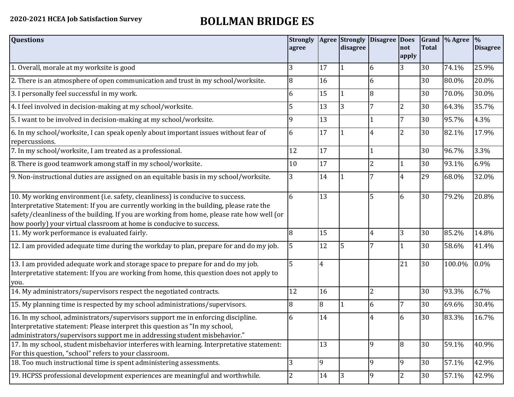## **2020-2021 HCEA Job Satisfaction Survey BOLLMAN BRIDGE ES**

| <b>Questions</b>                                                                                                                                                                                                                                                                                                                               | <b>Strongly</b><br>agree |                | Agree Strongly<br>disagree | Disagree Does  | not<br>apply   | <b>Total</b> | Grand  % Agree | $\frac{9}{6}$<br><b>Disagree</b> |
|------------------------------------------------------------------------------------------------------------------------------------------------------------------------------------------------------------------------------------------------------------------------------------------------------------------------------------------------|--------------------------|----------------|----------------------------|----------------|----------------|--------------|----------------|----------------------------------|
| 1. Overall, morale at my worksite is good                                                                                                                                                                                                                                                                                                      | 3                        | 17             |                            | 6              | 3              | 30           | 74.1%          | 25.9%                            |
| 2. There is an atmosphere of open communication and trust in my school/worksite.                                                                                                                                                                                                                                                               | 8                        | 16             |                            | 6              |                | 30           | 80.0%          | 20.0%                            |
| 3. I personally feel successful in my work.                                                                                                                                                                                                                                                                                                    | 6                        | 15             |                            | 8              |                | 30           | 70.0%          | 30.0%                            |
| 4. I feel involved in decision-making at my school/worksite.                                                                                                                                                                                                                                                                                   | 5                        | 13             | 3                          | 7              | $\overline{2}$ | 30           | 64.3%          | 35.7%                            |
| 5. I want to be involved in decision-making at my school/worksite.                                                                                                                                                                                                                                                                             | 9                        | 13             |                            |                | 7              | 30           | 95.7%          | 4.3%                             |
| 6. In my school/worksite, I can speak openly about important issues without fear of<br>repercussions.                                                                                                                                                                                                                                          | 6                        | 17             |                            |                | $\overline{2}$ | 30           | 82.1%          | 17.9%                            |
| 7. In my school/worksite, I am treated as a professional.                                                                                                                                                                                                                                                                                      | 12                       | 17             |                            |                |                | 30           | 96.7%          | 3.3%                             |
| 8. There is good teamwork among staff in my school/worksite.                                                                                                                                                                                                                                                                                   | 10                       | 17             |                            | 2              |                | 30           | 93.1%          | 6.9%                             |
| 9. Non-instructional duties are assigned on an equitable basis in my school/worksite.                                                                                                                                                                                                                                                          | 3                        | 14             |                            | 7              | 4              | 29           | 68.0%          | 32.0%                            |
| 10. My working environment (i.e. safety, cleanliness) is conducive to success.<br>Interpretative Statement: If you are currently working in the building, please rate the<br>safety/cleanliness of the building. If you are working from home, please rate how well (or<br>how poorly) your virtual classroom at home is conducive to success. | 6                        | 13             |                            | 5              | 6              | 30           | 79.2%          | 20.8%                            |
| 11. My work performance is evaluated fairly.                                                                                                                                                                                                                                                                                                   | 8                        | 15             |                            | 4              | 3              | 30           | 85.2%          | 14.8%                            |
| 12. I am provided adequate time during the workday to plan, prepare for and do my job.                                                                                                                                                                                                                                                         | 5                        | 12             | 5                          |                |                | 30           | 58.6%          | 41.4%                            |
| 13. I am provided adequate work and storage space to prepare for and do my job.<br>Interpretative statement: If you are working from home, this question does not apply to<br>you.                                                                                                                                                             | 5                        | $\overline{4}$ |                            |                | 21             | 30           | 100.0%         | 0.0%                             |
| 14. My administrators/supervisors respect the negotiated contracts.                                                                                                                                                                                                                                                                            | 12                       | 16             |                            | $\overline{2}$ |                | 30           | 93.3%          | 6.7%                             |
| 15. My planning time is respected by my school administrations/supervisors.                                                                                                                                                                                                                                                                    | 8                        | 8              |                            | 6              | 7              | 30           | 69.6%          | 30.4%                            |
| 16. In my school, administrators/supervisors support me in enforcing discipline.<br>Interpretative statement: Please interpret this question as "In my school,<br>administrators/supervisors support me in addressing student misbehavior."                                                                                                    | 6                        | 14             |                            |                | 6              | 30           | 83.3%          | 16.7%                            |
| 17. In my school, student misbehavior interferes with learning. Interpretative statement:<br>For this question, "school" refers to your classroom.                                                                                                                                                                                             |                          | 13             |                            | 9              | 8              | 30           | 59.1%          | 40.9%                            |
| 18. Too much instructional time is spent administering assessments.                                                                                                                                                                                                                                                                            | $\overline{3}$           | 9              |                            | 9              | 9              | 30           | 57.1%          | 42.9%                            |
| 19. HCPSS professional development experiences are meaningful and worthwhile.                                                                                                                                                                                                                                                                  | $\overline{2}$           | 14             | 3                          | 9              | $\overline{2}$ | 30           | 57.1%          | 42.9%                            |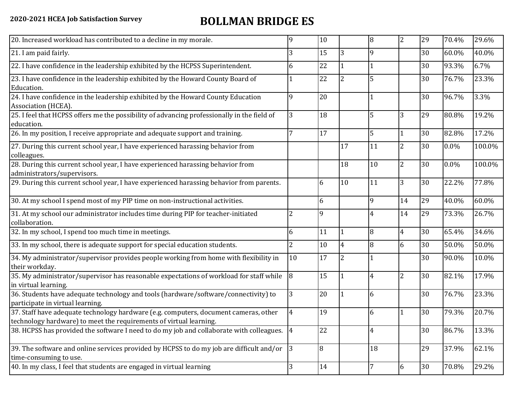## **2020-2021 HCEA Job Satisfaction Survey BOLLMAN BRIDGE ES**

| 20. Increased workload has contributed to a decline in my morale.                                                                                          | q              | 10 |                | 8  | $\overline{2}$ | 29 | 70.4% | 29.6%  |
|------------------------------------------------------------------------------------------------------------------------------------------------------------|----------------|----|----------------|----|----------------|----|-------|--------|
| 21. I am paid fairly.                                                                                                                                      | 3              | 15 | 3              | 9  |                | 30 | 60.0% | 40.0%  |
| 22. I have confidence in the leadership exhibited by the HCPSS Superintendent.                                                                             | 6              | 22 |                |    |                | 30 | 93.3% | 6.7%   |
| 23. I have confidence in the leadership exhibited by the Howard County Board of<br>Education.                                                              |                | 22 | 2              |    |                | 30 | 76.7% | 23.3%  |
| 24. I have confidence in the leadership exhibited by the Howard County Education<br>Association (HCEA).                                                    | 9              | 20 |                |    |                | 30 | 96.7% | 3.3%   |
| 25. I feel that HCPSS offers me the possibility of advancing professionally in the field of<br>education.                                                  | 3              | 18 |                | 5  | 3              | 29 | 80.8% | 19.2%  |
| 26. In my position, I receive appropriate and adequate support and training.                                                                               |                | 17 |                | 5  |                | 30 | 82.8% | 17.2%  |
| 27. During this current school year, I have experienced harassing behavior from<br>colleagues.                                                             |                |    | 17             | 11 | $\overline{2}$ | 30 | 0.0%  | 100.0% |
| 28. During this current school year, I have experienced harassing behavior from<br>administrators/supervisors.                                             |                |    | 18             | 10 | $\overline{2}$ | 30 | 0.0%  | 100.0% |
| 29. During this current school year, I have experienced harassing behavior from parents.                                                                   |                | 6  | 10             | 11 | 3              | 30 | 22.2% | 77.8%  |
| 30. At my school I spend most of my PIP time on non-instructional activities.                                                                              |                | 6  |                | 9  | 14             | 29 | 40.0% | 60.0%  |
| 31. At my school our administrator includes time during PIP for teacher-initiated<br>collaboration.                                                        | 2              | 9  |                |    | 14             | 29 | 73.3% | 26.7%  |
| 32. In my school, I spend too much time in meetings.                                                                                                       | 6              | 11 |                | 8  | $\overline{4}$ | 30 | 65.4% | 34.6%  |
| 33. In my school, there is adequate support for special education students.                                                                                | $\overline{2}$ | 10 | 4              | 8  | 6              | 30 | 50.0% | 50.0%  |
| 34. My administrator/supervisor provides people working from home with flexibility in<br>their workday.                                                    | 10             | 17 | $\overline{2}$ |    |                | 30 | 90.0% | 10.0%  |
| 35. My administrator/supervisor has reasonable expectations of workload for staff while<br>in virtual learning.                                            | $\overline{8}$ | 15 |                | 4  | $\overline{2}$ | 30 | 82.1% | 17.9%  |
| 36. Students have adequate technology and tools (hardware/software/connectivity) to<br>participate in virtual learning.                                    | 3              | 20 |                | 6  |                | 30 | 76.7% | 23.3%  |
| 37. Staff have adequate technology hardware (e.g. computers, document cameras, other<br>technology hardware) to meet the requirements of virtual learning. | 4              | 19 |                | 6  |                | 30 | 79.3% | 20.7%  |
| 38. HCPSS has provided the software I need to do my job and collaborate with colleagues. 4                                                                 |                | 22 |                | 4  |                | 30 | 86.7% | 13.3%  |
| 39. The software and online services provided by HCPSS to do my job are difficult and/or<br>time-consuming to use.                                         | $ 3\rangle$    | 8  |                | 18 |                | 29 | 37.9% | 62.1%  |
| 40. In my class, I feel that students are engaged in virtual learning                                                                                      | 3              | 14 |                |    | 6              | 30 | 70.8% | 29.2%  |
|                                                                                                                                                            |                |    |                |    |                |    |       |        |